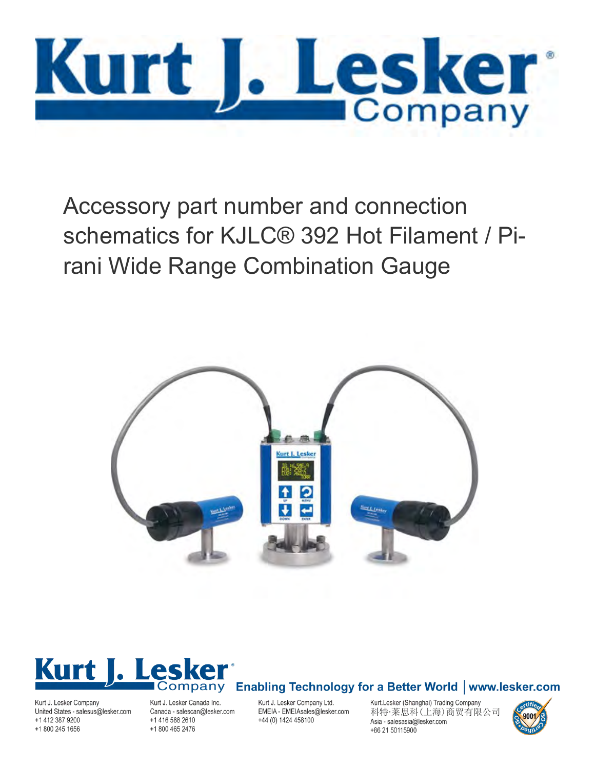

Accessory part number and connection schematics for KJLC® 392 Hot Filament / Pirani Wide Range Combination Gauge





Kurt J. Lesker Company United States - salesus@lesker.com +1 412 387 9200 +1 800 245 1656

Kurt J. Lesker Canada Inc. Canada - salescan@lesker.com +1 416 588 2610 +1 800 465 2476

Kurt J. Lesker Company Ltd. EMEIA - EMEIAsales@lesker.com +44 (0) 1424 458100

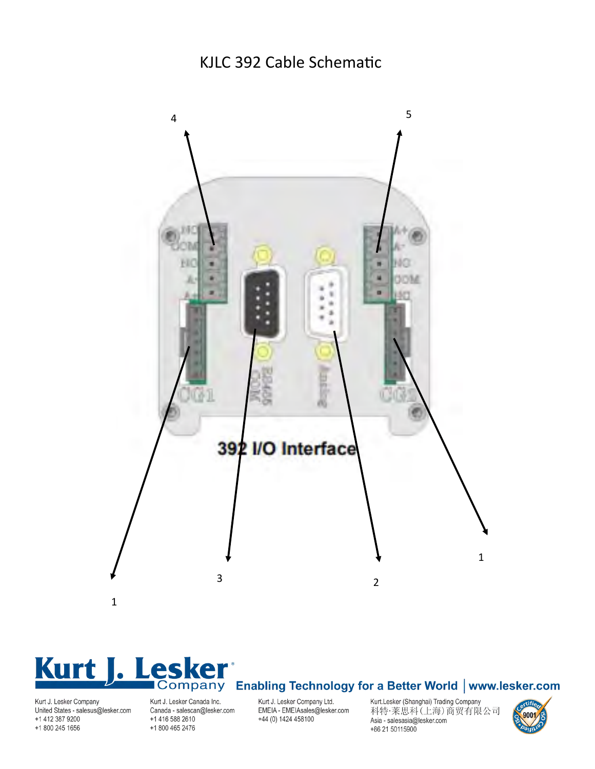#### KJLC 392 Cable Schematic



# **Kurt** J. Lesker'<br>Company Enabling Technology for a Better World | www.lesker.com

#### United States - salesus@lesker.com +1 412 387 9200 +1 800 245 1656

Canada - salescan@lesker.com +1 416 588 2610 +1 800 465 2476

EMEIA - EMEIAsales@lesker.com +44 (0) 1424 458100

科特·莱思科(上海)商贸有限公司 Asia - salesasia@lesker.com +86 21 50115900

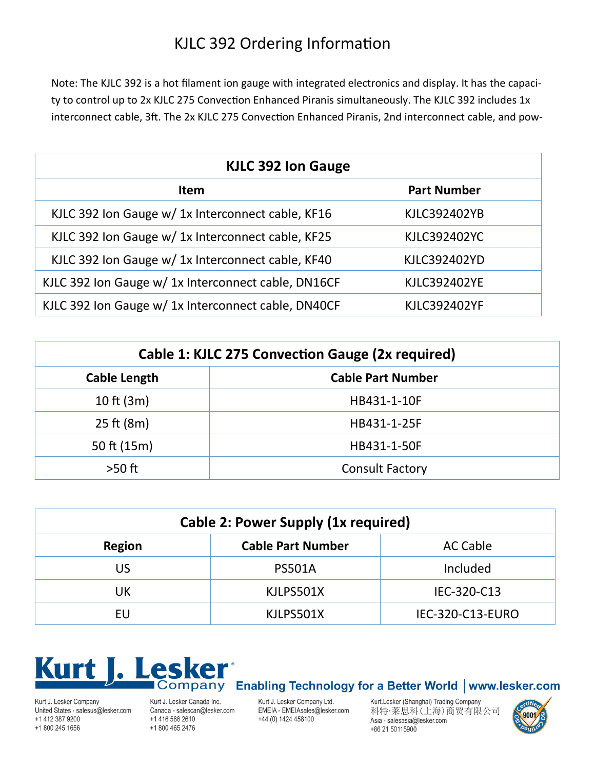## KJLC 392 Ordering Information

Note: The KJLC 392 is a hot filament ion gauge with integrated electronics and display. It has the capacity to control up to 2x KJLC 275 Convection Enhanced Piranis simultaneously. The KJLC 392 includes 1x interconnect cable, 3ft. The 2x KJLC 275 Convection Enhanced Piranis, 2nd interconnect cable, and pow-

| <b>KJLC 392 Ion Gauge</b>                           |                     |  |
|-----------------------------------------------------|---------------------|--|
| <b>Item</b>                                         | <b>Part Number</b>  |  |
| KJLC 392 Ion Gauge w/ 1x Interconnect cable, KF16   | KJLC392402YB        |  |
| KJLC 392 Ion Gauge w/ 1x Interconnect cable, KF25   | KJLC392402YC        |  |
| KJLC 392 Ion Gauge w/ 1x Interconnect cable, KF40   | KJLC392402YD        |  |
| KJLC 392 Ion Gauge w/ 1x Interconnect cable, DN16CF | <b>KJLC392402YE</b> |  |
| KJLC 392 Ion Gauge w/ 1x Interconnect cable, DN40CF | <b>KJLC392402YF</b> |  |

| Cable 1: KJLC 275 Convection Gauge (2x required) |                          |  |
|--------------------------------------------------|--------------------------|--|
| <b>Cable Length</b>                              | <b>Cable Part Number</b> |  |
| 10 ft $(3m)$                                     | HB431-1-10F              |  |
| $25$ ft (8m)                                     | HB431-1-25F              |  |
| 50 ft $(15m)$                                    | HB431-1-50F              |  |
| $>50$ ft                                         | <b>Consult Factory</b>   |  |

| <b>Cable 2: Power Supply (1x required)</b> |                          |                  |
|--------------------------------------------|--------------------------|------------------|
| <b>Region</b>                              | <b>Cable Part Number</b> | <b>AC Cable</b>  |
| US                                         | <b>PS501A</b>            | Included         |
| UK                                         | KJLPS501X                | IEC-320-C13      |
| EU                                         | KJLPS501X                | IEC-320-C13-EURO |



Kurt J. Lesker Company United States - salesus@lesker.com +1 412 387 9200 +1 800 245 1656

Kurt J. Lesker Canada Inc. Canada - salescan@lesker.com +1 416 588 2610 +1 800 465 2476

Kurt J. Lesker Company Ltd. EMEIA - EMEIAsales@lesker.com +44 (0) 1424 458100

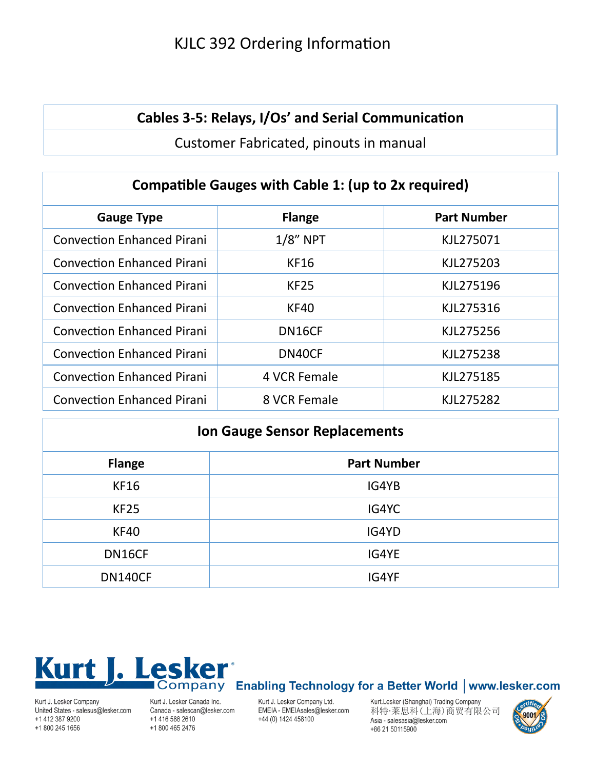## KJLC 392 Ordering Information

#### **Cables 3-5: Relays, I/Os' and Serial Communication**

Customer Fabricated, pinouts in manual

| <b>Compatible Gauges with Cable 1: (up to 2x required)</b> |               |                    |  |
|------------------------------------------------------------|---------------|--------------------|--|
| <b>Gauge Type</b>                                          | <b>Flange</b> | <b>Part Number</b> |  |
| <b>Convection Enhanced Pirani</b>                          | $1/8$ " NPT   | KJL275071          |  |
| <b>Convection Enhanced Pirani</b>                          | <b>KF16</b>   | KJL275203          |  |
| <b>Convection Enhanced Pirani</b>                          | <b>KF25</b>   | KJL275196          |  |
| <b>Convection Enhanced Pirani</b>                          | <b>KF40</b>   | KJL275316          |  |
| <b>Convection Enhanced Pirani</b>                          | DN16CF        | KJL275256          |  |
| <b>Convection Enhanced Pirani</b>                          | DN40CF        | KJL275238          |  |
| <b>Convection Enhanced Pirani</b>                          | 4 VCR Female  | KJL275185          |  |
| <b>Convection Enhanced Pirani</b>                          | 8 VCR Female  | KJL275282          |  |

| <b>Ion Gauge Sensor Replacements</b> |                    |  |
|--------------------------------------|--------------------|--|
| <b>Flange</b>                        | <b>Part Number</b> |  |
| <b>KF16</b>                          | IG4YB              |  |
| <b>KF25</b>                          | IG4YC              |  |
| <b>KF40</b>                          | IG4YD              |  |
| DN16CF                               | IG4YE              |  |
| <b>DN140CF</b>                       | IG4YF              |  |



#### Kurt J. Lesker Company United States - salesus@lesker.com +1 412 387 9200 +1 800 245 1656

Kurt J. Lesker Canada Inc. Canada - salescan@lesker.com +1 416 588 2610 +1 800 465 2476

Kurt J. Lesker Company Ltd. EMEIA - EMEIAsales@lesker.com +44 (0) 1424 458100